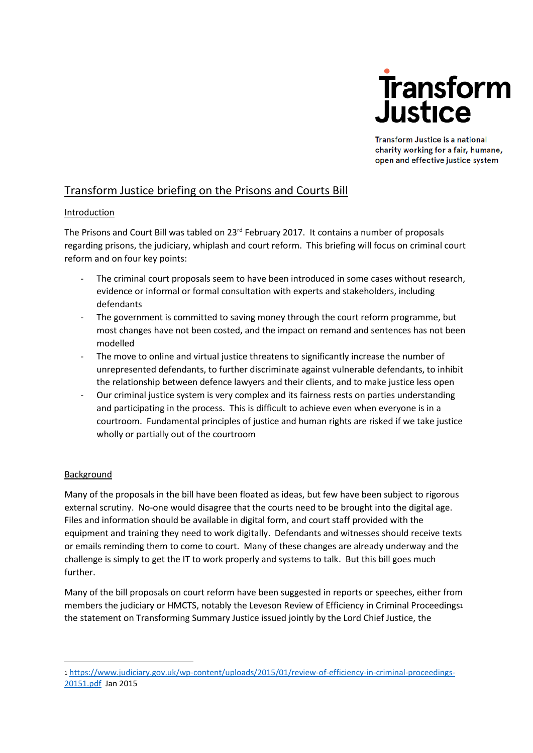

Transform Justice is a national charity working for a fair, humane, open and effective justice system

# Transform Justice briefing on the Prisons and Courts Bill

# Introduction

The Prisons and Court Bill was tabled on 23<sup>rd</sup> February 2017. It contains a number of proposals regarding prisons, the judiciary, whiplash and court reform. This briefing will focus on criminal court reform and on four key points:

- The criminal court proposals seem to have been introduced in some cases without research, evidence or informal or formal consultation with experts and stakeholders, including defendants
- The government is committed to saving money through the court reform programme, but most changes have not been costed, and the impact on remand and sentences has not been modelled
- The move to online and virtual justice threatens to significantly increase the number of unrepresented defendants, to further discriminate against vulnerable defendants, to inhibit the relationship between defence lawyers and their clients, and to make justice less open
- Our criminal justice system is very complex and its fairness rests on parties understanding and participating in the process. This is difficult to achieve even when everyone is in a courtroom. Fundamental principles of justice and human rights are risked if we take justice wholly or partially out of the courtroom

# Background

1

Many of the proposals in the bill have been floated as ideas, but few have been subject to rigorous external scrutiny. No-one would disagree that the courts need to be brought into the digital age. Files and information should be available in digital form, and court staff provided with the equipment and training they need to work digitally. Defendants and witnesses should receive texts or emails reminding them to come to court. Many of these changes are already underway and the challenge is simply to get the IT to work properly and systems to talk. But this bill goes much further.

Many of the bill proposals on court reform have been suggested in reports or speeches, either from members the judiciary or HMCTS, notably the Leveson Review of Efficiency in Criminal Proceedings<sup>1</sup> the statement on Transforming Summary Justice issued jointly by the Lord Chief Justice, the

<sup>1</sup> [https://www.judiciary.gov.uk/wp-content/uploads/2015/01/review-of-efficiency-in-criminal-proceedings-](https://www.judiciary.gov.uk/wp-content/uploads/2015/01/review-of-efficiency-in-criminal-proceedings-20151.pdf)[20151.pdf](https://www.judiciary.gov.uk/wp-content/uploads/2015/01/review-of-efficiency-in-criminal-proceedings-20151.pdf) Jan 2015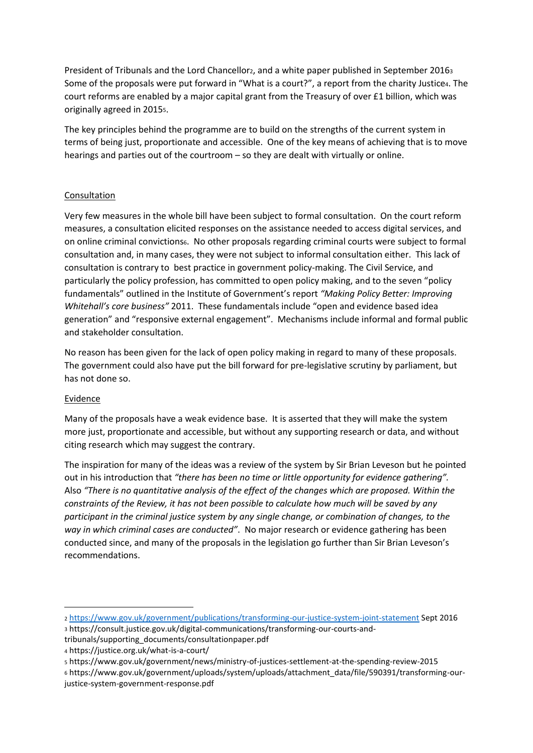President of Tribunals and the Lord Chancellor2, and a white paper published in September 20163 Some of the proposals were put forward in "What is a court?", a report from the charity Justice4. The court reforms are enabled by a major capital grant from the Treasury of over £1 billion, which was originally agreed in 20155.

The key principles behind the programme are to build on the strengths of the current system in terms of being just, proportionate and accessible. One of the key means of achieving that is to move hearings and parties out of the courtroom – so they are dealt with virtually or online.

# Consultation

Very few measures in the whole bill have been subject to formal consultation. On the court reform measures, a consultation elicited responses on the assistance needed to access digital services, and on online criminal convictions6. No other proposals regarding criminal courts were subject to formal consultation and, in many cases, they were not subject to informal consultation either. This lack of consultation is contrary to best practice in government policy-making. The Civil Service, and particularly the policy profession, has committed to open policy making, and to the seven "policy fundamentals" outlined in the Institute of Government's report *"Making Policy Better: Improving Whitehall's core business"* 2011. These fundamentals include "open and evidence based idea generation" and "responsive external engagement". Mechanisms include informal and formal public and stakeholder consultation.

No reason has been given for the lack of open policy making in regard to many of these proposals. The government could also have put the bill forward for pre-legislative scrutiny by parliament, but has not done so.

#### Evidence

 $\overline{\phantom{a}}$ 

Many of the proposals have a weak evidence base. It is asserted that they will make the system more just, proportionate and accessible, but without any supporting research or data, and without citing research which may suggest the contrary.

The inspiration for many of the ideas was a review of the system by Sir Brian Leveson but he pointed out in his introduction that *"there has been no time or little opportunity for evidence gathering".* Also *"There is no quantitative analysis of the effect of the changes which are proposed. Within the constraints of the Review, it has not been possible to calculate how much will be saved by any participant in the criminal justice system by any single change, or combination of changes, to the way in which criminal cases are conducted"*. No major research or evidence gathering has been conducted since, and many of the proposals in the legislation go further than Sir Brian Leveson's recommendations.

<sup>6</sup> https://www.gov.uk/government/uploads/system/uploads/attachment\_data/file/590391/transforming-ourjustice-system-government-response.pdf

<sup>2</sup> <https://www.gov.uk/government/publications/transforming-our-justice-system-joint-statement> Sept 2016 <sup>3</sup> https://consult.justice.gov.uk/digital-communications/transforming-our-courts-andtribunals/supporting\_documents/consultationpaper.pdf

<sup>4</sup> https://justice.org.uk/what-is-a-court/

<sup>5</sup> https://www.gov.uk/government/news/ministry-of-justices-settlement-at-the-spending-review-2015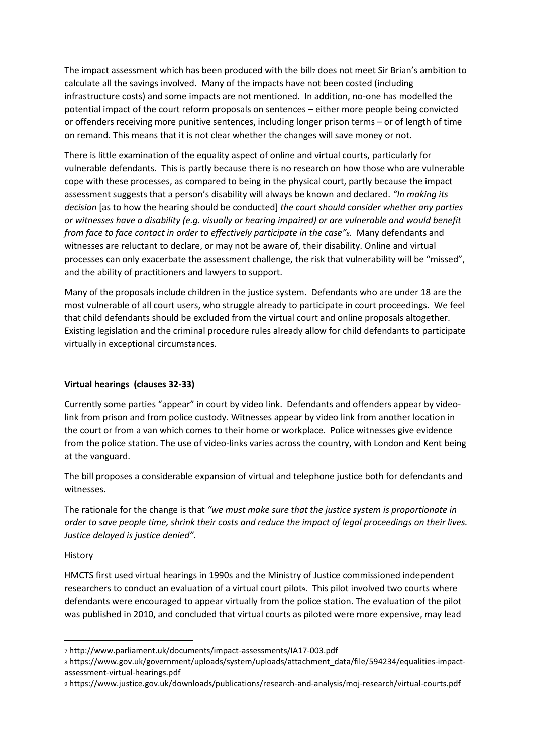The impact assessment which has been produced with the billz does not meet Sir Brian's ambition to calculate all the savings involved. Many of the impacts have not been costed (including infrastructure costs) and some impacts are not mentioned. In addition, no-one has modelled the potential impact of the court reform proposals on sentences – either more people being convicted or offenders receiving more punitive sentences, including longer prison terms – or of length of time on remand. This means that it is not clear whether the changes will save money or not.

There is little examination of the equality aspect of online and virtual courts, particularly for vulnerable defendants. This is partly because there is no research on how those who are vulnerable cope with these processes, as compared to being in the physical court, partly because the impact assessment suggests that a person's disability will always be known and declared. *"In making its decision* [as to how the hearing should be conducted] *the court should consider whether any parties or witnesses have a disability (e.g. visually or hearing impaired) or are vulnerable and would benefit from face to face contact in order to effectively participate in the case"8*. Many defendants and witnesses are reluctant to declare, or may not be aware of, their disability. Online and virtual processes can only exacerbate the assessment challenge, the risk that vulnerability will be "missed", and the ability of practitioners and lawyers to support.

Many of the proposals include children in the justice system. Defendants who are under 18 are the most vulnerable of all court users, who struggle already to participate in court proceedings. We feel that child defendants should be excluded from the virtual court and online proposals altogether. Existing legislation and the criminal procedure rules already allow for child defendants to participate virtually in exceptional circumstances.

# **Virtual hearings (clauses 32-33)**

Currently some parties "appear" in court by video link. Defendants and offenders appear by videolink from prison and from police custody. Witnesses appear by video link from another location in the court or from a van which comes to their home or workplace. Police witnesses give evidence from the police station. The use of video-links varies across the country, with London and Kent being at the vanguard.

The bill proposes a considerable expansion of virtual and telephone justice both for defendants and witnesses.

The rationale for the change is that *"we must make sure that the justice system is proportionate in order to save people time, shrink their costs and reduce the impact of legal proceedings on their lives. Justice delayed is justice denied".*

#### History

**.** 

HMCTS first used virtual hearings in 1990s and the Ministry of Justice commissioned independent researchers to conduct an evaluation of a virtual court pilots. This pilot involved two courts where defendants were encouraged to appear virtually from the police station. The evaluation of the pilot was published in 2010, and concluded that virtual courts as piloted were more expensive, may lead

<sup>7</sup> http://www.parliament.uk/documents/impact-assessments/IA17-003.pdf

<sup>8</sup> https://www.gov.uk/government/uploads/system/uploads/attachment\_data/file/594234/equalities-impactassessment-virtual-hearings.pdf

<sup>9</sup> https://www.justice.gov.uk/downloads/publications/research-and-analysis/moj-research/virtual-courts.pdf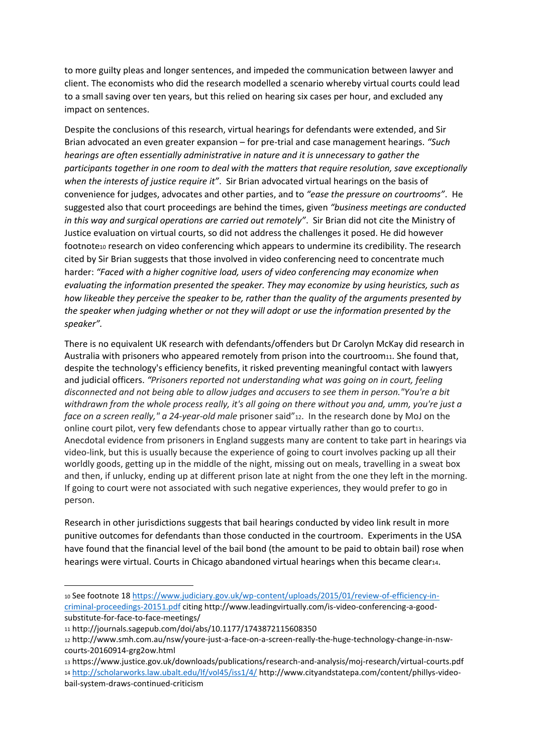to more guilty pleas and longer sentences, and impeded the communication between lawyer and client. The economists who did the research modelled a scenario whereby virtual courts could lead to a small saving over ten years, but this relied on hearing six cases per hour, and excluded any impact on sentences.

Despite the conclusions of this research, virtual hearings for defendants were extended, and Sir Brian advocated an even greater expansion – for pre-trial and case management hearings. *"Such hearings are often essentially administrative in nature and it is unnecessary to gather the participants together in one room to deal with the matters that require resolution, save exceptionally when the interests of justice require it"*. Sir Brian advocated virtual hearings on the basis of convenience for judges, advocates and other parties, and to *"ease the pressure on courtrooms"*. He suggested also that court proceedings are behind the times, given *"business meetings are conducted in this way and surgical operations are carried out remotely"*. Sir Brian did not cite the Ministry of Justice evaluation on virtual courts, so did not address the challenges it posed. He did however footnote10 research on video conferencing which appears to undermine its credibility. The research cited by Sir Brian suggests that those involved in video conferencing need to concentrate much harder: *"Faced with a higher cognitive load, users of video conferencing may economize when evaluating the information presented the speaker. They may economize by using heuristics, such as how likeable they perceive the speaker to be, rather than the quality of the arguments presented by the speaker when judging whether or not they will adopt or use the information presented by the speaker".*

There is no equivalent UK research with defendants/offenders but Dr Carolyn McKay did research in Australia with prisoners who appeared remotely from prison into the courtroom11. She found that, despite the technology's efficiency benefits, it risked preventing meaningful contact with lawyers and judicial officers. *"Prisoners reported not understanding what was going on in court, feeling disconnected and not being able to allow judges and accusers to see them in person."You're a bit withdrawn from the whole process really, it's all going on there without you and, umm, you're just a face on a screen really," a 24-year-old male* prisoner said"12. In the research done by MoJ on the online court pilot, very few defendants chose to appear virtually rather than go to court13. Anecdotal evidence from prisoners in England suggests many are content to take part in hearings via video-link, but this is usually because the experience of going to court involves packing up all their worldly goods, getting up in the middle of the night, missing out on meals, travelling in a sweat box and then, if unlucky, ending up at different prison late at night from the one they left in the morning. If going to court were not associated with such negative experiences, they would prefer to go in person.

Research in other jurisdictions suggests that bail hearings conducted by video link result in more punitive outcomes for defendants than those conducted in the courtroom. Experiments in the USA have found that the financial level of the bail bond (the amount to be paid to obtain bail) rose when hearings were virtual. Courts in Chicago abandoned virtual hearings when this became clear14.

1

<sup>10</sup> See footnote 18 [https://www.judiciary.gov.uk/wp-content/uploads/2015/01/review-of-efficiency-in](https://www.judiciary.gov.uk/wp-content/uploads/2015/01/review-of-efficiency-in-criminal-proceedings-20151.pdf)[criminal-proceedings-20151.pdf](https://www.judiciary.gov.uk/wp-content/uploads/2015/01/review-of-efficiency-in-criminal-proceedings-20151.pdf) citing http://www.leadingvirtually.com/is-video-conferencing-a-goodsubstitute-for-face-to-face-meetings/

<sup>11</sup> http://journals.sagepub.com/doi/abs/10.1177/1743872115608350

<sup>12</sup> http://www.smh.com.au/nsw/youre-just-a-face-on-a-screen-really-the-huge-technology-change-in-nswcourts-20160914-grg2ow.html

<sup>13</sup> https://www.justice.gov.uk/downloads/publications/research-and-analysis/moj-research/virtual-courts.pdf <sup>14</sup> <http://scholarworks.law.ubalt.edu/lf/vol45/iss1/4/> http://www.cityandstatepa.com/content/phillys-videobail-system-draws-continued-criticism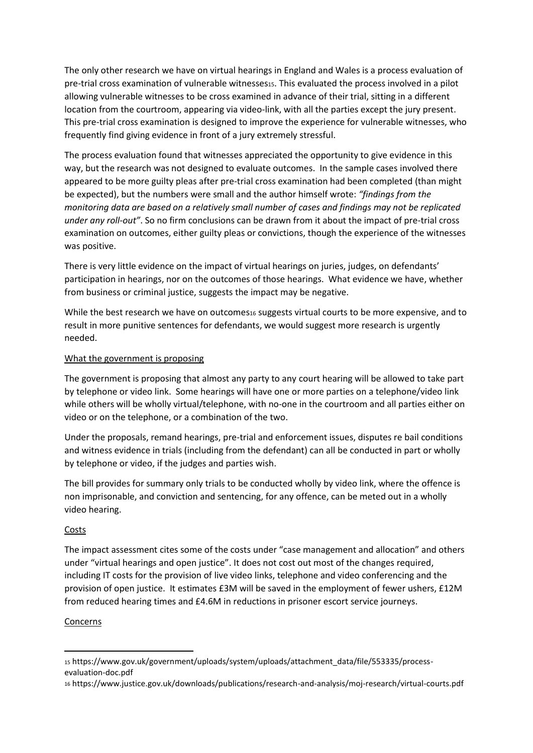The only other research we have on virtual hearings in England and Wales is a process evaluation of pre-trial cross examination of vulnerable witnesses15. This evaluated the process involved in a pilot allowing vulnerable witnesses to be cross examined in advance of their trial, sitting in a different location from the courtroom, appearing via video-link, with all the parties except the jury present. This pre-trial cross examination is designed to improve the experience for vulnerable witnesses, who frequently find giving evidence in front of a jury extremely stressful.

The process evaluation found that witnesses appreciated the opportunity to give evidence in this way, but the research was not designed to evaluate outcomes. In the sample cases involved there appeared to be more guilty pleas after pre-trial cross examination had been completed (than might be expected), but the numbers were small and the author himself wrote: *"findings from the monitoring data are based on a relatively small number of cases and findings may not be replicated under any roll-out"*. So no firm conclusions can be drawn from it about the impact of pre-trial cross examination on outcomes, either guilty pleas or convictions, though the experience of the witnesses was positive.

There is very little evidence on the impact of virtual hearings on juries, judges, on defendants' participation in hearings, nor on the outcomes of those hearings. What evidence we have, whether from business or criminal justice, suggests the impact may be negative.

While the best research we have on outcomes16 suggests virtual courts to be more expensive, and to result in more punitive sentences for defendants, we would suggest more research is urgently needed.

#### What the government is proposing

The government is proposing that almost any party to any court hearing will be allowed to take part by telephone or video link. Some hearings will have one or more parties on a telephone/video link while others will be wholly virtual/telephone, with no-one in the courtroom and all parties either on video or on the telephone, or a combination of the two.

Under the proposals, remand hearings, pre-trial and enforcement issues, disputes re bail conditions and witness evidence in trials (including from the defendant) can all be conducted in part or wholly by telephone or video, if the judges and parties wish.

The bill provides for summary only trials to be conducted wholly by video link, where the offence is non imprisonable, and conviction and sentencing, for any offence, can be meted out in a wholly video hearing.

#### Costs

The impact assessment cites some of the costs under "case management and allocation" and others under "virtual hearings and open justice". It does not cost out most of the changes required, including IT costs for the provision of live video links, telephone and video conferencing and the provision of open justice. It estimates £3M will be saved in the employment of fewer ushers, £12M from reduced hearing times and £4.6M in reductions in prisoner escort service journeys.

#### Concerns

<sup>15</sup> https://www.gov.uk/government/uploads/system/uploads/attachment\_data/file/553335/processevaluation-doc.pdf

<sup>16</sup> https://www.justice.gov.uk/downloads/publications/research-and-analysis/moj-research/virtual-courts.pdf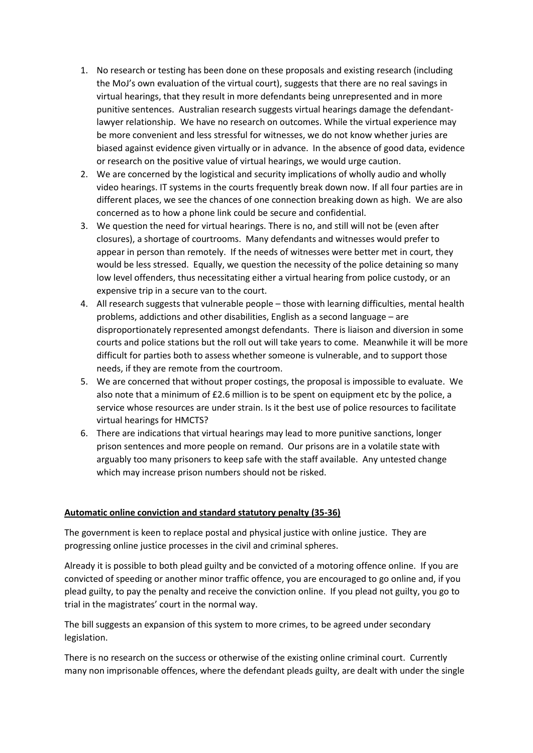- 1. No research or testing has been done on these proposals and existing research (including the MoJ's own evaluation of the virtual court), suggests that there are no real savings in virtual hearings, that they result in more defendants being unrepresented and in more punitive sentences. Australian research suggests virtual hearings damage the defendantlawyer relationship. We have no research on outcomes. While the virtual experience may be more convenient and less stressful for witnesses, we do not know whether juries are biased against evidence given virtually or in advance. In the absence of good data, evidence or research on the positive value of virtual hearings, we would urge caution.
- 2. We are concerned by the logistical and security implications of wholly audio and wholly video hearings. IT systems in the courts frequently break down now. If all four parties are in different places, we see the chances of one connection breaking down as high. We are also concerned as to how a phone link could be secure and confidential.
- 3. We question the need for virtual hearings. There is no, and still will not be (even after closures), a shortage of courtrooms. Many defendants and witnesses would prefer to appear in person than remotely. If the needs of witnesses were better met in court, they would be less stressed. Equally, we question the necessity of the police detaining so many low level offenders, thus necessitating either a virtual hearing from police custody, or an expensive trip in a secure van to the court.
- 4. All research suggests that vulnerable people those with learning difficulties, mental health problems, addictions and other disabilities, English as a second language – are disproportionately represented amongst defendants. There is liaison and diversion in some courts and police stations but the roll out will take years to come. Meanwhile it will be more difficult for parties both to assess whether someone is vulnerable, and to support those needs, if they are remote from the courtroom.
- 5. We are concerned that without proper costings, the proposal is impossible to evaluate. We also note that a minimum of £2.6 million is to be spent on equipment etc by the police, a service whose resources are under strain. Is it the best use of police resources to facilitate virtual hearings for HMCTS?
- 6. There are indications that virtual hearings may lead to more punitive sanctions, longer prison sentences and more people on remand. Our prisons are in a volatile state with arguably too many prisoners to keep safe with the staff available. Any untested change which may increase prison numbers should not be risked.

#### **Automatic online conviction and standard statutory penalty (35-36)**

The government is keen to replace postal and physical justice with online justice. They are progressing online justice processes in the civil and criminal spheres.

Already it is possible to both plead guilty and be convicted of a motoring offence online. If you are convicted of speeding or another minor traffic offence, you are encouraged to go online and, if you plead guilty, to pay the penalty and receive the conviction online. If you plead not guilty, you go to trial in the magistrates' court in the normal way.

The bill suggests an expansion of this system to more crimes, to be agreed under secondary legislation.

There is no research on the success or otherwise of the existing online criminal court. Currently many non imprisonable offences, where the defendant pleads guilty, are dealt with under the single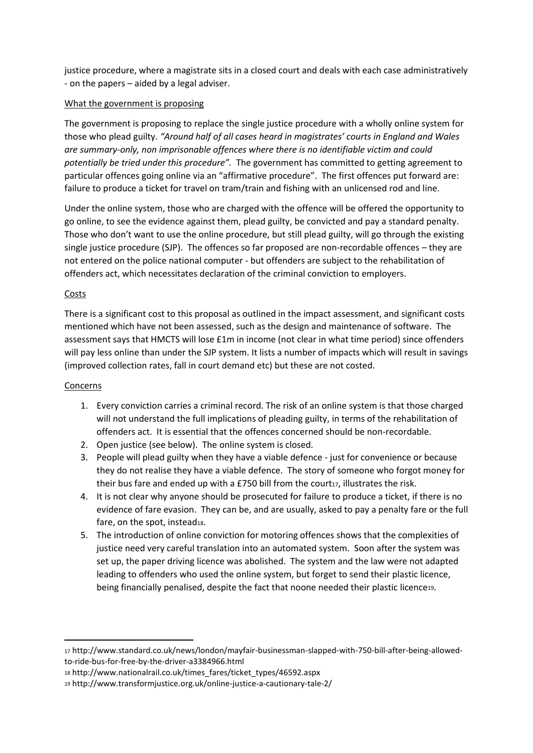justice procedure, where a magistrate sits in a closed court and deals with each case administratively - on the papers – aided by a legal adviser.

### What the government is proposing

The government is proposing to replace the single justice procedure with a wholly online system for those who plead guilty. *"Around half of all cases heard in magistrates' courts in England and Wales are summary-only, non imprisonable offences where there is no identifiable victim and could potentially be tried under this procedure".* The government has committed to getting agreement to particular offences going online via an "affirmative procedure". The first offences put forward are: failure to produce a ticket for travel on tram/train and fishing with an unlicensed rod and line.

Under the online system, those who are charged with the offence will be offered the opportunity to go online, to see the evidence against them, plead guilty, be convicted and pay a standard penalty. Those who don't want to use the online procedure, but still plead guilty, will go through the existing single justice procedure (SJP). The offences so far proposed are non-recordable offences – they are not entered on the police national computer - but offenders are subject to the rehabilitation of offenders act, which necessitates declaration of the criminal conviction to employers.

### Costs

There is a significant cost to this proposal as outlined in the impact assessment, and significant costs mentioned which have not been assessed, such as the design and maintenance of software. The assessment says that HMCTS will lose £1m in income (not clear in what time period) since offenders will pay less online than under the SJP system. It lists a number of impacts which will result in savings (improved collection rates, fall in court demand etc) but these are not costed.

#### Concerns

- 1. Every conviction carries a criminal record. The risk of an online system is that those charged will not understand the full implications of pleading guilty, in terms of the rehabilitation of offenders act. It is essential that the offences concerned should be non-recordable.
- 2. Open justice (see below). The online system is closed.
- 3. People will plead guilty when they have a viable defence just for convenience or because they do not realise they have a viable defence. The story of someone who forgot money for their bus fare and ended up with a £750 bill from the court $17$ , illustrates the risk.
- 4. It is not clear why anyone should be prosecuted for failure to produce a ticket, if there is no evidence of fare evasion. They can be, and are usually, asked to pay a penalty fare or the full fare, on the spot, instead18.
- 5. The introduction of online conviction for motoring offences shows that the complexities of justice need very careful translation into an automated system. Soon after the system was set up, the paper driving licence was abolished. The system and the law were not adapted leading to offenders who used the online system, but forget to send their plastic licence, being financially penalised, despite the fact that noone needed their plastic licence19.

<sup>17</sup> http://www.standard.co.uk/news/london/mayfair-businessman-slapped-with-750-bill-after-being-allowedto-ride-bus-for-free-by-the-driver-a3384966.html

<sup>18</sup> http://www.nationalrail.co.uk/times\_fares/ticket\_types/46592.aspx

<sup>19</sup> http://www.transformjustice.org.uk/online-justice-a-cautionary-tale-2/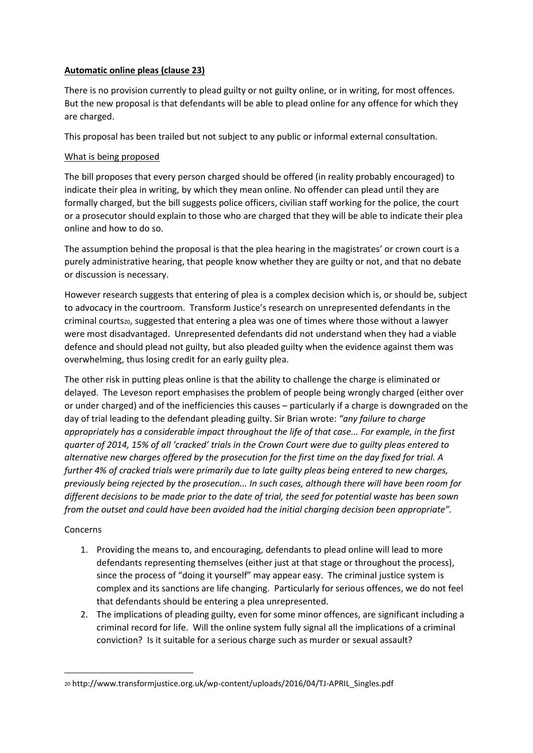# **Automatic online pleas (clause 23)**

There is no provision currently to plead guilty or not guilty online, or in writing, for most offences. But the new proposal is that defendants will be able to plead online for any offence for which they are charged.

This proposal has been trailed but not subject to any public or informal external consultation.

### What is being proposed

The bill proposes that every person charged should be offered (in reality probably encouraged) to indicate their plea in writing, by which they mean online. No offender can plead until they are formally charged, but the bill suggests police officers, civilian staff working for the police, the court or a prosecutor should explain to those who are charged that they will be able to indicate their plea online and how to do so.

The assumption behind the proposal is that the plea hearing in the magistrates' or crown court is a purely administrative hearing, that people know whether they are guilty or not, and that no debate or discussion is necessary.

However research suggests that entering of plea is a complex decision which is, or should be, subject to advocacy in the courtroom. Transform Justice's research on unrepresented defendants in the criminal courts<sub>20</sub>, suggested that entering a plea was one of times where those without a lawyer were most disadvantaged. Unrepresented defendants did not understand when they had a viable defence and should plead not guilty, but also pleaded guilty when the evidence against them was overwhelming, thus losing credit for an early guilty plea.

The other risk in putting pleas online is that the ability to challenge the charge is eliminated or delayed. The Leveson report emphasises the problem of people being wrongly charged (either over or under charged) and of the inefficiencies this causes – particularly if a charge is downgraded on the day of trial leading to the defendant pleading guilty. Sir Brian wrote: *"any failure to charge appropriately has a considerable impact throughout the life of that case... For example, in the first quarter of 2014, 15% of all 'cracked' trials in the Crown Court were due to guilty pleas entered to alternative new charges offered by the prosecution for the first time on the day fixed for trial. A further 4% of cracked trials were primarily due to late guilty pleas being entered to new charges, previously being rejected by the prosecution... In such cases, although there will have been room for different decisions to be made prior to the date of trial, the seed for potential waste has been sown from the outset and could have been avoided had the initial charging decision been appropriate".*

# Concerns

- 1. Providing the means to, and encouraging, defendants to plead online will lead to more defendants representing themselves (either just at that stage or throughout the process), since the process of "doing it yourself" may appear easy. The criminal justice system is complex and its sanctions are life changing. Particularly for serious offences, we do not feel that defendants should be entering a plea unrepresented.
- 2. The implications of pleading guilty, even for some minor offences, are significant including a criminal record for life. Will the online system fully signal all the implications of a criminal conviction? Is it suitable for a serious charge such as murder or sexual assault?

<sup>20</sup> http://www.transformjustice.org.uk/wp-content/uploads/2016/04/TJ-APRIL\_Singles.pdf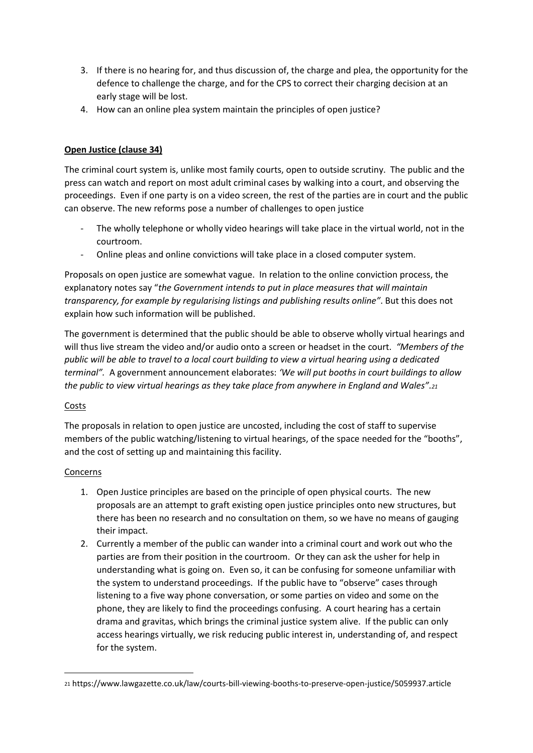- 3. If there is no hearing for, and thus discussion of, the charge and plea, the opportunity for the defence to challenge the charge, and for the CPS to correct their charging decision at an early stage will be lost.
- 4. How can an online plea system maintain the principles of open justice?

# **Open Justice (clause 34)**

The criminal court system is, unlike most family courts, open to outside scrutiny. The public and the press can watch and report on most adult criminal cases by walking into a court, and observing the proceedings. Even if one party is on a video screen, the rest of the parties are in court and the public can observe. The new reforms pose a number of challenges to open justice

- The wholly telephone or wholly video hearings will take place in the virtual world, not in the courtroom.
- Online pleas and online convictions will take place in a closed computer system.

Proposals on open justice are somewhat vague. In relation to the online conviction process, the explanatory notes say "*the Government intends to put in place measures that will maintain transparency, for example by regularising listings and publishing results online"*. But this does not explain how such information will be published.

The government is determined that the public should be able to observe wholly virtual hearings and will thus live stream the video and/or audio onto a screen or headset in the court. *"Members of the public will be able to travel to a local court building to view a virtual hearing using a dedicated terminal".* A government announcement elaborates: *'We will put booths in court buildings to allow the public to view virtual hearings as they take place from anywhere in England and Wales".<sup>21</sup>*

# Costs

The proposals in relation to open justice are uncosted, including the cost of staff to supervise members of the public watching/listening to virtual hearings, of the space needed for the "booths", and the cost of setting up and maintaining this facility.

# Concerns

- 1. Open Justice principles are based on the principle of open physical courts. The new proposals are an attempt to graft existing open justice principles onto new structures, but there has been no research and no consultation on them, so we have no means of gauging their impact.
- 2. Currently a member of the public can wander into a criminal court and work out who the parties are from their position in the courtroom. Or they can ask the usher for help in understanding what is going on. Even so, it can be confusing for someone unfamiliar with the system to understand proceedings. If the public have to "observe" cases through listening to a five way phone conversation, or some parties on video and some on the phone, they are likely to find the proceedings confusing. A court hearing has a certain drama and gravitas, which brings the criminal justice system alive. If the public can only access hearings virtually, we risk reducing public interest in, understanding of, and respect for the system.

<sup>21</sup> https://www.lawgazette.co.uk/law/courts-bill-viewing-booths-to-preserve-open-justice/5059937.article